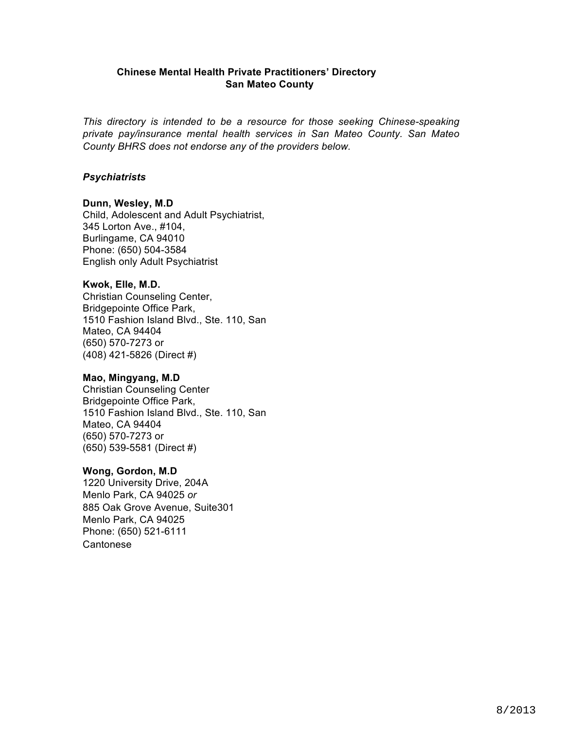# **Chinese Mental Health Private Practitioners' Directory San Mateo County**

*This directory is intended to be a resource for those seeking Chinese-speaking private pay/insurance mental health services in San Mateo County. San Mateo County BHRS does not endorse any of the providers below.*

# *Psychiatrists*

# **Dunn, Wesley, M.D**

Child, Adolescent and Adult Psychiatrist, 345 Lorton Ave., #104, Burlingame, CA 94010 Phone: (650) 504-3584 English only Adult Psychiatrist

## **Kwok, Elle, M.D.**

Christian Counseling Center, Bridgepointe Office Park, 1510 Fashion Island Blvd., Ste. 110, San Mateo, CA 94404 (650) 570-7273 or (408) 421-5826 (Direct #)

## **Mao, Mingyang, M.D**

Christian Counseling Center Bridgepointe Office Park, 1510 Fashion Island Blvd., Ste. 110, San Mateo, CA 94404 (650) 570-7273 or (650) 539-5581 (Direct #)

## **Wong, Gordon, M.D**

1220 University Drive, 204A Menlo Park, CA 94025 *or*  885 Oak Grove Avenue, Suite301 Menlo Park, CA 94025 Phone: (650) 521-6111 Cantonese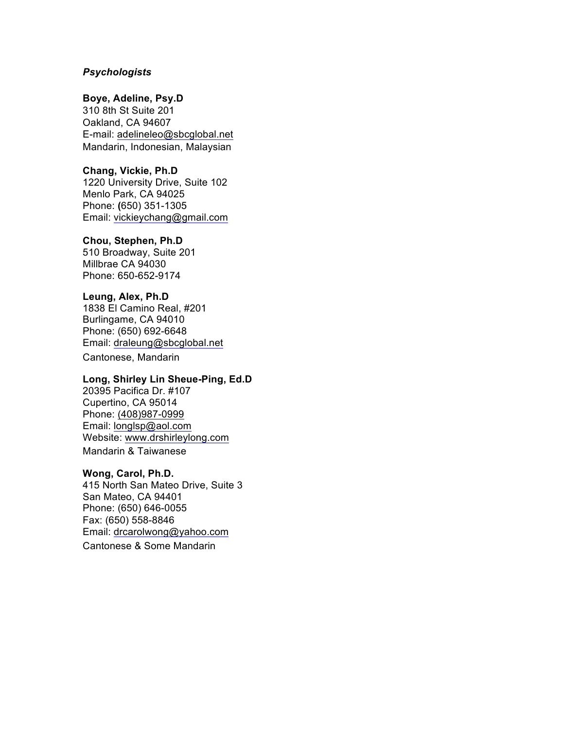## *Psychologists*

## **Boye, Adeline, Psy.D**

310 8th St Suite 201 Oakland, CA 94607 E-mail: adelineleo@sbcglobal.net Mandarin, Indonesian, Malaysian

### **Chang, Vickie, Ph.D**

1220 University Drive, Suite 102 Menlo Park, CA 94025 Phone: **(**650) 351-1305 Email: vickieychang@gmail.com

#### **Chou, Stephen, Ph.D**

510 Broadway, Suite 201 Millbrae CA 94030 Phone: 650-652-9174

### **Leung, Alex, Ph.D**

1838 El Camino Real, #201 Burlingame, CA 94010 Phone: (650) 692-6648 Email: draleung@sbcglobal.net

Cantonese, Mandarin

# **Long, Shirley Lin Sheue-Ping, Ed.D**

20395 Pacifica Dr. #107 Cupertino, CA 95014 Phone: (408)987-0999 Email: longlsp@aol.com Website: www.drshirleylong.com Mandarin & Taiwanese

#### **Wong, Carol, Ph.D.**

415 North San Mateo Drive, Suite 3 San Mateo, CA 94401 Phone: (650) 646-0055 Fax: (650) 558-8846 Email: drcarolwong@yahoo.com Cantonese & Some Mandarin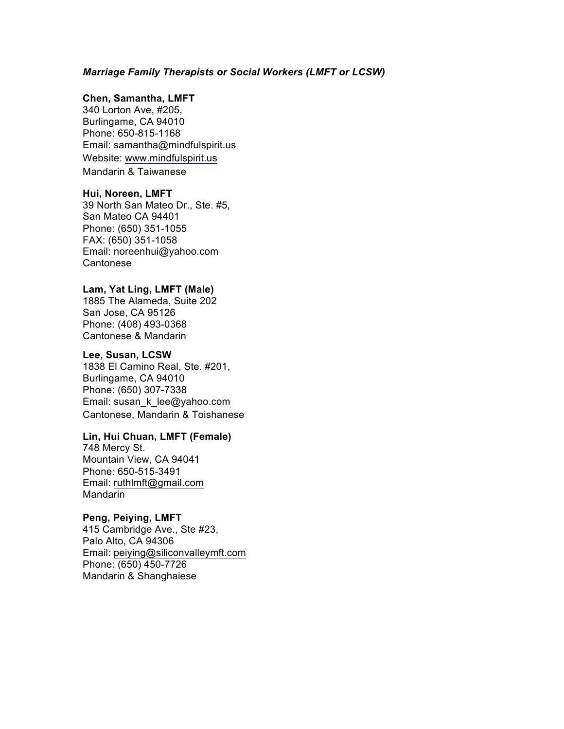### *Marriage Family Therapists or Social Workers (LMFT or LCSW)*

### **Chen, Samantha, LMFT**

340 Lorton Ave, #205, Burlingame, CA 94010 Phone: 650-815-1168 Email: samantha@mindfulspirit.us Website: www.mindfulspirit.us Mandarin & Taiwanese

### **Hui, Noreen, LMFT**

39 North San Mateo Dr., Ste. #5, San Mateo CA 94401 Phone: (650) 351-1055 FAX: (650) 351-1058 Email: noreenhui@yahoo.com **Cantonese** 

# **Lam, Yat Ling, LMFT (Male)**

1885 The Alameda, Suite 202 San Jose, CA 95126 Phone: (408) 493-0368 Cantonese & Mandarin

### **Lee, Susan, LCSW**

1838 El Camino Real, Ste. #201, Burlingame, CA 94010 Phone: (650) 307-7338 Email: susan\_k\_lee@yahoo.com Cantonese, Mandarin & Toishanese

### **Lin, Hui Chuan, LMFT (Female)**

748 Mercy St. Mountain View, CA 94041 Phone: 650-515-3491 Email: ruthlmft@gmail.com Mandarin

## **Peng, Peiying, LMFT**

415 Cambridge Ave., Ste #23, Palo Alto, CA 94306 Email: peiying@siliconvalleymft.com Phone: (650) 450-7726 Mandarin & Shanghaiese